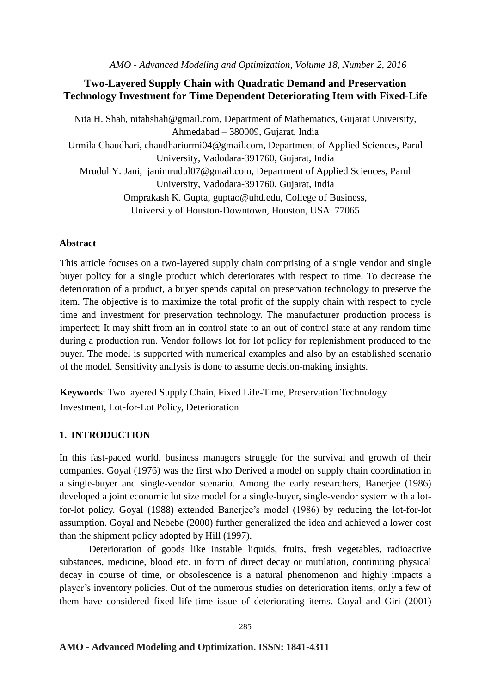*AMO - Advanced Modeling and Optimization, Volume 18, Number 2, 2016*

## **Two-Layered Supply Chain with Quadratic Demand and Preservation Technology Investment for Time Dependent Deteriorating Item with Fixed-Life**

Nita H. Shah, [nitahshah@gmail.com,](mailto:nitahshah@gmail.com) Department of Mathematics, Gujarat University, Ahmedabad – 380009, Gujarat, India Urmila Chaudhari, [chaudhariurmi04@gmail.com,](mailto:chaudhariurmi04@gmail.com) Department of Applied Sciences, Parul University, Vadodara-391760, Gujarat, India Mrudul Y. Jani, [janimrudul07@gmail.com,](mailto:janimrudul07@gmail.com) Department of Applied Sciences, Parul University, Vadodara-391760, Gujarat, India Omprakash K. Gupta, [guptao@uhd.edu,](mailto:guptao@uhd.edu) College of Business, University of Houston-Downtown, Houston, USA. 77065

#### **Abstract**

This article focuses on a two-layered supply chain comprising of a single vendor and single buyer policy for a single product which deteriorates with respect to time. To decrease the deterioration of a product, a buyer spends capital on preservation technology to preserve the item. The objective is to maximize the total profit of the supply chain with respect to cycle time and investment for preservation technology. The manufacturer production process is imperfect; It may shift from an in control state to an out of control state at any random time during a production run. Vendor follows lot for lot policy for replenishment produced to the buyer. The model is supported with numerical examples and also by an established scenario of the model. Sensitivity analysis is done to assume decision-making insights.

**Keywords**: Two layered Supply Chain, Fixed Life-Time, Preservation Technology Investment, Lot-for-Lot Policy, Deterioration

#### **1. INTRODUCTION**

In this fast-paced world, business managers struggle for the survival and growth of their companies. Goyal (1976) was the first who Derived a model on supply chain coordination in a single-buyer and single-vendor scenario. Among the early researchers, Banerjee (1986) developed a joint economic lot size model for a single-buyer, single-vendor system with a lotfor-lot policy. Goyal (1988) extended Banerjee's model (1986) by reducing the lot-for-lot assumption. Goyal and Nebebe (2000) further generalized the idea and achieved a lower cost than the shipment policy adopted by Hill (1997).

Deterioration of goods like instable liquids, fruits, fresh vegetables, radioactive substances, medicine, blood etc. in form of direct decay or mutilation, continuing physical decay in course of time, or obsolescence is a natural phenomenon and highly impacts a player's inventory policies. Out of the numerous studies on deterioration items, only a few of them have considered fixed life-time issue of deteriorating items. Goyal and Giri (2001)

#### **AMO - Advanced Modeling and Optimization. ISSN: 1841-4311**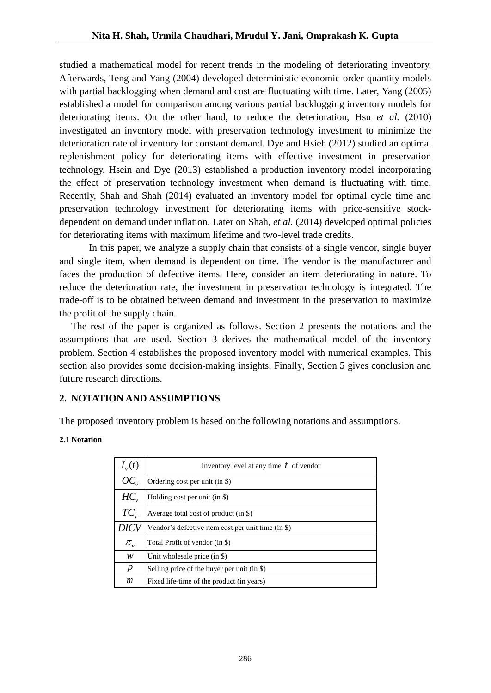studied a mathematical model for recent trends in the modeling of deteriorating inventory. Afterwards, Teng and Yang (2004) developed deterministic economic order quantity models with partial backlogging when demand and cost are fluctuating with time. Later, Yang (2005) established a model for comparison among various partial backlogging inventory models for deteriorating items. On the other hand, to reduce the deterioration, Hsu *et al.* (2010) investigated an inventory model with preservation technology investment to minimize the deterioration rate of inventory for constant demand. Dye and Hsieh (2012) studied an optimal replenishment policy for deteriorating items with effective investment in preservation technology. Hsein and Dye (2013) established a production inventory model incorporating the effect of preservation technology investment when demand is fluctuating with time. Recently, Shah and Shah (2014) evaluated an inventory model for optimal cycle time and preservation technology investment for deteriorating items with price-sensitive stockdependent on demand under inflation. Later on Shah, *et al.* (2014) developed optimal policies for deteriorating items with maximum lifetime and two-level trade credits.

In this paper, we analyze a supply chain that consists of a single vendor, single buyer and single item, when demand is dependent on time. The vendor is the manufacturer and faces the production of defective items. Here, consider an item deteriorating in nature. To reduce the deterioration rate, the investment in preservation technology is integrated. The trade-off is to be obtained between demand and investment in the preservation to maximize the profit of the supply chain.

The rest of the paper is organized as follows. Section 2 presents the notations and the assumptions that are used. Section 3 derives the mathematical model of the inventory problem. Section 4 establishes the proposed inventory model with numerical examples. This section also provides some decision-making insights. Finally, Section 5 gives conclusion and future research directions.

# **2. NOTATION AND ASSUMPTIONS**

The proposed inventory problem is based on the following notations and assumptions.

## **2.1 Notation**

| $I_{v}(t)$       | Inventory level at any time $t$ of vendor          |
|------------------|----------------------------------------------------|
| OC               | Ordering cost per unit (in $\$ )                   |
| $HC_{v}$         | Holding cost per unit (in \$)                      |
| $TC_{v}$         | Average total cost of product (in \$)              |
| DICV             | Vendor's defective item cost per unit time (in \$) |
| $\pi_{v}$        | Total Profit of vendor (in \$)                     |
| w                | Unit wholesale price $(in $)$                      |
| $\boldsymbol{p}$ | Selling price of the buyer per unit (in $\$ )      |
| m                | Fixed life-time of the product (in years)          |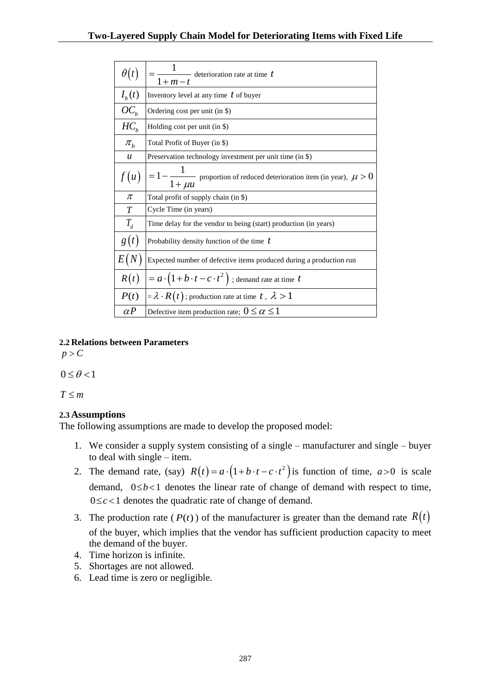| $\theta(t)$                  | $\overline{\phantom{a}}$ deterioration rate at time $t$<br>$1+m-t$                                                                                                       |  |  |  |  |
|------------------------------|--------------------------------------------------------------------------------------------------------------------------------------------------------------------------|--|--|--|--|
| $I_b(t)$                     | Inventory level at any time $t$ of buyer                                                                                                                                 |  |  |  |  |
| $OC_b$                       | Ordering cost per unit (in \$)                                                                                                                                           |  |  |  |  |
| HC <sub>b</sub>              | Holding cost per unit (in \$)                                                                                                                                            |  |  |  |  |
| $\pi_{\scriptscriptstyle b}$ | Total Profit of Buyer (in \$)                                                                                                                                            |  |  |  |  |
| u                            | Preservation technology investment per unit time (in \$)                                                                                                                 |  |  |  |  |
| f(u)                         | $= 1 - \frac{1}{1 + \mu u}$ proportion of reduced deterioration item (in year), $\mu > 0$                                                                                |  |  |  |  |
| $\pi$                        | Total profit of supply chain (in \$)                                                                                                                                     |  |  |  |  |
| T                            | Cycle Time (in years)                                                                                                                                                    |  |  |  |  |
| $T_{d}$                      | Time delay for the vendor to being (start) production (in years)                                                                                                         |  |  |  |  |
| g(t)                         | Probability density function of the time $t$                                                                                                                             |  |  |  |  |
| E(N)                         | Expected number of defective items produced during a production run                                                                                                      |  |  |  |  |
| R(t)                         | $= a \cdot (1 + b \cdot t - c \cdot t^2)$ ; demand rate at time t                                                                                                        |  |  |  |  |
| P(t)                         | $= \lambda \cdot R(t)$ ; production rate at time $t$ , $\lambda > 1$                                                                                                     |  |  |  |  |
| $\alpha P$                   | Defective item production rate; $0 \le \alpha \le 1$                                                                                                                     |  |  |  |  |
| ons                          | g assumptions are made to develop the proposed model:                                                                                                                    |  |  |  |  |
|                              |                                                                                                                                                                          |  |  |  |  |
|                              | onsider a supply system consisting of a single - manufacturer and s<br>$1$ with single – item.                                                                           |  |  |  |  |
|                              | lemand rate, (say) $R(t) = a \cdot (1 + b \cdot t - c \cdot t^2)$ is function of time,                                                                                   |  |  |  |  |
|                              | and, $0 \le b < 1$ denotes the linear rate of change of demand with really                                                                                               |  |  |  |  |
|                              | 1 denotes the quadratic rate of change of demand.                                                                                                                        |  |  |  |  |
|                              | roduction rate $(P(t))$ of the manufacturer is greater than the dema                                                                                                     |  |  |  |  |
|                              | buyer, which implies that the vendor has sufficient production cap<br>mand of the buyer.<br>horizon is infinite.<br>ages are not allowed.<br>time is zero or negligible. |  |  |  |  |
|                              |                                                                                                                                                                          |  |  |  |  |
|                              |                                                                                                                                                                          |  |  |  |  |
|                              | 287                                                                                                                                                                      |  |  |  |  |

## **2.2 Relations between Parameters**

 $p > C$ 

 $0 \le \theta < 1$ 

 $T \leq m$ 

# **2.3 Assumptions**

The following assumptions are made to develop the proposed model:

- 1. We consider a supply system consisting of a single manufacturer and single buyer to deal with single – item.
- 2. The demand rate, (say)  $R(t) = a \cdot (1 + b \cdot t c \cdot t^2)$  is function of time,  $a > 0$  is scale demand,  $0 \le b < 1$  denotes the linear rate of change of demand with respect to time,  $0 \leq c < 1$  denotes the quadratic rate of change of demand.
- 3. The production rate  $(P(t))$  of the manufacturer is greater than the demand rate  $R(t)$ of the buyer, which implies that the vendor has sufficient production capacity to meet the demand of the buyer.
- 4. Time horizon is infinite.
- 5. Shortages are not allowed.
- 6. Lead time is zero or negligible.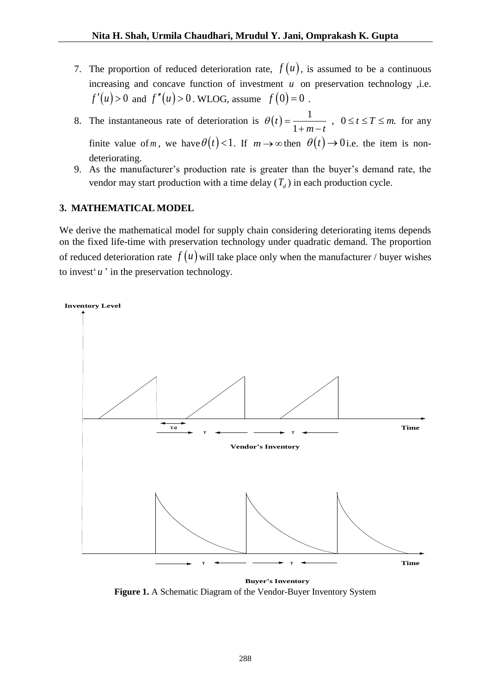- 7. The proportion of reduced deterioration rate,  $f(u)$ , is assumed to be a continuous increasing and concave function of investment  $u$  on preservation technology , i.e.  $f'(u) > 0$  and  $f''(u) > 0$ . WLOG, assume  $f(0) = 0$ .
- 8. The instantaneous rate of deterioration is  $\theta(t)$  $t = \frac{1}{1 + m - t}$ ,  $0 \le t \le T \le m$ .  $\frac{1}{m-t}$  $\theta(t) = \frac{1}{1+m}$ ,  $0 \le t \le T \le m$ .  $\frac{1}{1+m-t}$ ,  $0 \le t \le T \le m$ . for any finite value of *m*, we have  $\theta(t) < 1$ . If  $m \to \infty$  then  $\theta(t) \to 0$  i.e. the item is nondeteriorating.
- 9. As the manufacturer's production rate is greater than the buyer's demand rate, the vendor may start production with a time delay  $(T_d)$  in each production cycle.

# **3. MATHEMATICAL MODEL**

We derive the mathematical model for supply chain considering deteriorating items depends on the fixed life-time with preservation technology under quadratic demand. The proportion of reduced deterioration rate  $f(u)$  will take place only when the manufacturer / buyer wishes to invest'*u* ' in the preservation technology.



**Buyer's Inventory Figure 1.** A Schematic Diagram of the Vendor-Buyer Inventory System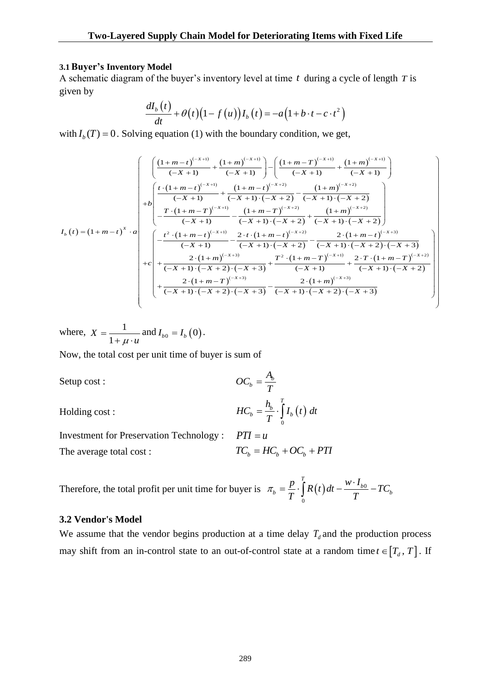#### **3.1Buyer's Inventory Model**

A schematic diagram of the buyer's inventory level at time *t* during a cycle of length *T* is given by

$$
\frac{dI_b(t)}{dt} + \theta(t)(1 - f(u))I_b(t) = -a(1 + b \cdot t - c \cdot t^2)
$$

$$
\frac{-b' + c'}{dt} + \theta(t) (1 - f(u))I_b(t) = -a(1 + b \cdot t - c \cdot t^2)
$$
\nwith  $I_b(T) = 0$ . Solving equation (1) with the boundary condition, we get,  
\n
$$
\begin{bmatrix}\n\frac{\left((1 + m - t)^{(-x + 1)}}{(-x + 1)} + \frac{(1 + m)^{(-x + 1)}}{(-x + 1)}\right) - \left(\frac{(1 + m - T)^{(-x + 1)}}{(-x + 1)} + \frac{(1 + m)^{(-x + 1)}}{(-x + 1)}\right) \\
\frac{\left(t - \frac{(1 + m - t)^{(-x + 1)}}{(-x + 1)} + \frac{(1 + m - t)^{(-x + 2)}}{(-x + 1) \cdot (-x + 2)} - \frac{(1 + m)^{(-x + 2)}}{(-x + 1) \cdot (-x + 2)}\right)}{-\frac{T \cdot (1 + m - T)^{(-x + 1)}}{(-x + 1)} - \frac{(1 + m - T)^{(-x + 2)}}{(-x + 1) \cdot (-x + 2)} + \frac{(1 + m)^{(-x + 2)}}{(-x + 1) \cdot (-x + 2)}\n\end{bmatrix}
$$
\n
$$
I_b(t) = (1 + m - t)^x \cdot a
$$
\n
$$
\begin{bmatrix}\n-\frac{t^2 \cdot (1 + m - t)^{(-x + 1)}}{(-x + 1)} - \frac{2 \cdot t \cdot (1 + m - t)^{(-x + 2)}}{(-x + 1) \cdot (-x + 2)} - \frac{2 \cdot (1 + m - t)^{(-x + 3)}}{(-x + 1) \cdot (-x + 2) \cdot (-x + 3)} \\
+\frac{2 \cdot (1 + m)^{(-x + 3)}}{(-x + 1) \cdot (-x + 2) \cdot (-x + 3)} + \frac{T^2 \cdot (1 + m - T)^{(-x + 1)}}{(-x + 1)} + \frac{2 \cdot T \cdot (1 + m - T)^{(-x + 2)}}{(-x + 1) \cdot (-x + 2)} \\
+\frac{2 \cdot (1 + m - T)^{(-x + 3)}}{(-x + 1) \cdot (-x + 2) \cdot (-x + 3)} - \frac{2 \cdot (1 + m)^{(-x + 3)}}{(-x + 1) \cdot (-x + 2) \cdot (-x + 3)}\n\end{bmatrix}
$$

where, 
$$
X = \frac{1}{1 + \mu \cdot u}
$$
 and  $I_{b0} = I_b(0)$ .

Now, the total cost per unit time of buyer is sum of

Setup cost :

Holding cost :

$$
OC_b = \frac{A_b}{T}
$$
  

$$
HC_b = \frac{h_b}{T} \cdot \int_0^T I_b(t) dt
$$

 $OC_b = \frac{A_b}{A}$ 

 $=$ 

Investment for Preservation Technology :  $PTI = u$ The average total cost :  $TC_b = HC_b + OC_b + PTI$ 

Therefore, the total profit per unit time for buyer is  $\pi_b = \frac{p}{T} \cdot \int R(t) dt - \frac{w \cdot t_{b0}}{T}$  $\mathbf{0}$ *T*  $\dot{L}_b = \frac{p}{T} \cdot \int_a^T R(t) dt - \frac{w \cdot I_{b0}}{T} - TC_b$  $\pi_b = \frac{p}{T} \cdot \int_{0}^{T} R(t) dt - \frac{w \cdot I_{b0}}{T} - TC_b$ 

## **3.2 Vendor's Model**

We assume that the vendor begins production at a time delay  $T_d$  and the production process may shift from an in-control state to an out-of-control state at a random time  $t \in [T_d, T]$ . If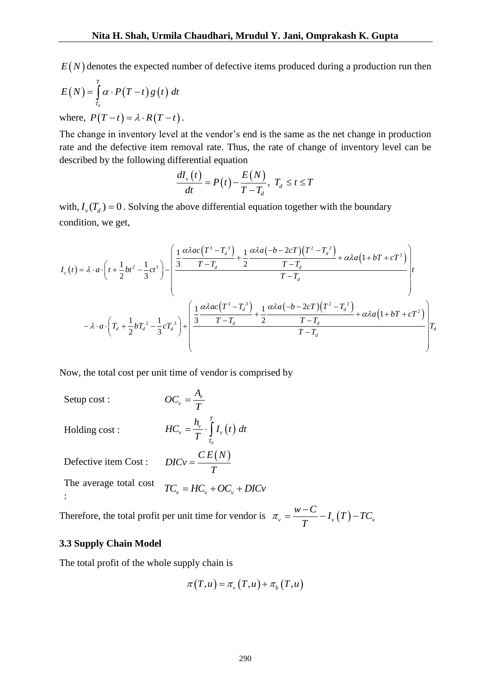$E(N)$  denotes the expected number of defective items produced during a production run then

$$
E(N) = \int_{T_d}^{T} \alpha \cdot P(T-t) g(t) dt
$$

where,  $P(T-t) = \lambda \cdot R(T-t)$ .

The change in inventory level at the vendor's end is the same as the net change in production rate and the defective item removal rate. Thus, the rate of change of inventory level can be described by the following differential equation<br>  $dI_v(t) = B(t) E(N)$ 

$$
\frac{dI_{\nu}(t)}{dt}=P(t)-\frac{E(N)}{T-T_d}, T_d \leq t \leq T
$$

condition, we get,

E(N) denotes the expected number of defective items produced during a production run then  
\n
$$
E(N) = \int_{Z} \alpha \cdot P(T - t) g(t) dt
$$
\nwhere,  
\n
$$
P(T - t) = \lambda \cdot R(T - t).
$$
\nThe change in inventory level at the vendor's end is the same as the net change in production  
\nthe defective time removal rate. Thus, the rate of change of inventory level can be  
\ndescribed by the following differential equation together with the boundary  
\ncondition, we get,  
\nwith,  $I_{\nu}(T_{\delta}) = 0$ . Solving the above differential equation together with the boundary  
\ncondition, we get,  
\n
$$
I_{\nu}(t) = \lambda \cdot \alpha \cdot \left(t + \frac{1}{2}bt^2 - \frac{1}{3}ct^2\right) = \frac{\left[\frac{1}{3} \frac{a\lambda \alpha c(T^2 - T_{\delta}^2)}{T - T_{\delta}} + \frac{1}{2} \frac{a\lambda \alpha (-b - 2cT)(T^2 - T_{\delta}^2)}{T - T_{\delta}} + \alpha \lambda a(1 + bT + cT^2)\right]}{T - T_{\delta}}
$$
\n
$$
I_{\nu}(t) = \lambda \cdot \alpha \cdot \left(t + \frac{1}{2}bt^2 - \frac{1}{3}ct^2\right) = \frac{\left[\frac{1}{3} \frac{a\lambda \alpha c(T^2 - T_{\delta}^2)}{T - T_{\delta}} + \frac{1}{2} \frac{a\lambda \alpha (-b - 2cT)(T^2 - T_{\delta}^2)}{T - T_{\delta}} + \alpha \lambda a(1 + bT + cT^2)\right]}{T - T_{\delta}}
$$
\nNow, the total cost per unit time of vendor is comprised by  
\nSeup cost : 
$$
OC_{\nu} = \frac{A_{\nu}}{T} \int_{T_{\nu}}^{T} I_{\nu}(t) dt
$$
\nDefective item Cost : 
$$
DIC_{V} = \frac{CE(N)}{T}
$$
\nThe average total cost 
$$
TC_{\nu} = HC_{\nu} + OC_{\nu} + DIC_{V}
$$
:

\n: Therefore, the total profit per unit time for vendor is  $\pi_{\nu} = \frac{W - C}{T} - I_{\nu}(T) - TC_{\nu}$ .

\n3.3 Supply Chain Model

\nThe total profit of the whole supply chain is

\n
$$
\pi(T, u) = \pi_{\nu}(T, u) + \pi_{\delta}(T, u)
$$

Now, the total cost per unit time of vendor is comprised by

Setup cost :

$$
OC_{v} = \frac{A_{v}}{T}
$$

$$
HC_{v} = \frac{h_{v}}{T} \cdot \int_{T_{d}}^{T} I_{v}(t) dt
$$

Holding cost :

Defective item Cost :  $CE(N)$ *DICv T*  $=$ 

The average total cost :  $TC_{v} = HC_{v} + OC_{v} + DIC_{v}$ 

Therefore, the total profit per unit time for vendor is  $\pi_v = \frac{w - C}{T} - I_v(T) - TC_v$ 

#### **3.3 Supply Chain Model**

The total profit of the whole supply chain is

$$
\pi(T, u) = \pi_{\nu}(T, u) + \pi_{\nu}(T, u)
$$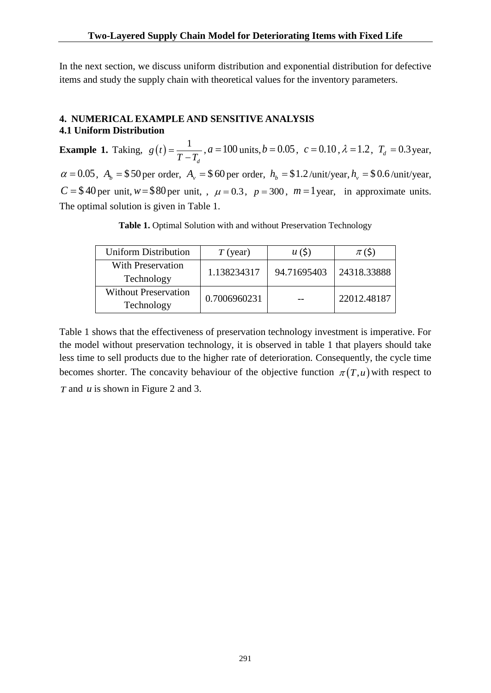In the next section, we discuss uniform distribution and exponential distribution for defective items and study the supply chain with theoretical values for the inventory parameters.

# **4. NUMERICAL EXAMPLE AND SENSITIVE ANALYSIS 4.1 Uniform Distribution**

**Example 1.** Taking,  $g(t)$ 1 *d g t*  $T - T$  $=$  $\overline{a}$  $a = 100$  units,  $b = 0.05$ ,  $c = 0.10$ ,  $\lambda = 1.2$ ,  $T<sub>d</sub> = 0.3$  year,  $\alpha = 0.05$ ,  $A_b = $50$  per order,  $A_v = $60$  per order,  $h_b = $1.2$ /unit/year,  $h_v = $0.6$ /unit/year,  $C = $40$  per unit,  $w = $80$  per unit, ,  $\mu = 0.3$ ,  $p = 300$ ,  $m = 1$  year, in approximate units. The optimal solution is given in Table 1.

**Table 1.** Optimal Solution with and without Preservation Technology

| <b>Uniform Distribution</b>               | $T$ (year)   | u(5)        | $\pi$ (\$)  |
|-------------------------------------------|--------------|-------------|-------------|
| With Preservation<br>Technology           | 1.138234317  | 94.71695403 | 24318.33888 |
| <b>Without Preservation</b><br>Technology | 0.7006960231 |             | 22012.48187 |

Table 1 shows that the effectiveness of preservation technology investment is imperative. For the model without preservation technology, it is observed in table 1 that players should take less time to sell products due to the higher rate of deterioration. Consequently, the cycle time becomes shorter. The concavity behaviour of the objective function  $\pi(T, u)$  with respect to *T* and *u* is shown in Figure 2 and 3.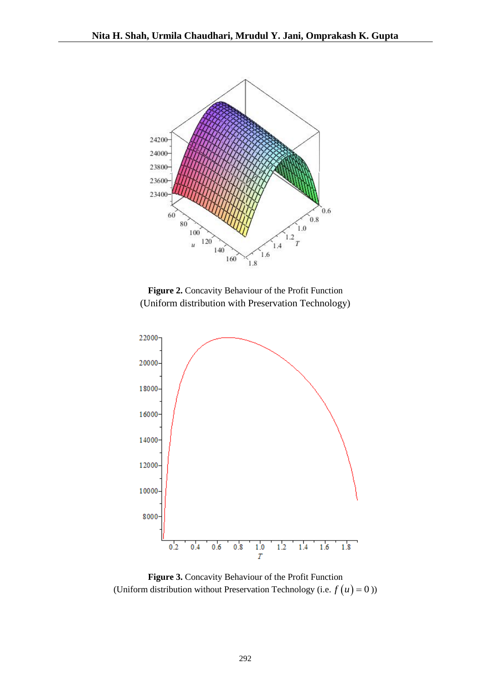

**Figure 2.** Concavity Behaviour of the Profit Function (Uniform distribution with Preservation Technology)



**Figure 3.** Concavity Behaviour of the Profit Function (Uniform distribution without Preservation Technology (i.e.  $f(u) = 0$ ))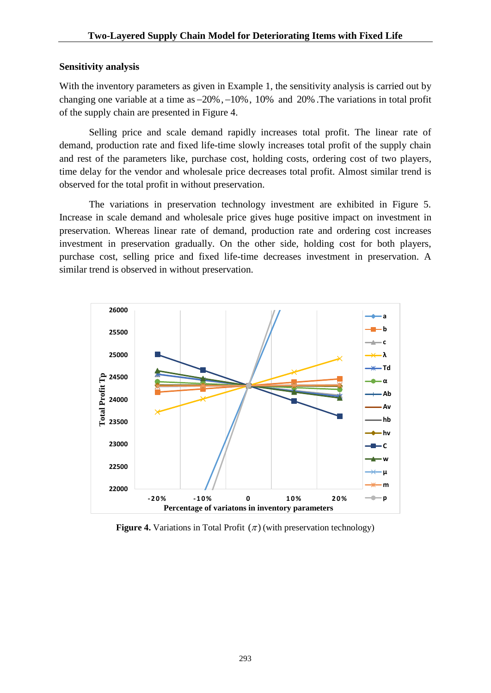### **Sensitivity analysis**

With the inventory parameters as given in Example 1, the sensitivity analysis is carried out by changing one variable at a time as  $-20\%$ ,  $-10\%$ , 10% and 20%. The variations in total profit of the supply chain are presented in Figure 4.

Selling price and scale demand rapidly increases total profit. The linear rate of demand, production rate and fixed life-time slowly increases total profit of the supply chain and rest of the parameters like, purchase cost, holding costs, ordering cost of two players, time delay for the vendor and wholesale price decreases total profit. Almost similar trend is observed for the total profit in without preservation.

The variations in preservation technology investment are exhibited in Figure 5. Increase in scale demand and wholesale price gives huge positive impact on investment in preservation. Whereas linear rate of demand, production rate and ordering cost increases investment in preservation gradually. On the other side, holding cost for both players, purchase cost, selling price and fixed life-time decreases investment in preservation. A similar trend is observed in without preservation.



Figure 4. Variations in Total Profit  $(\pi)$  (with preservation technology)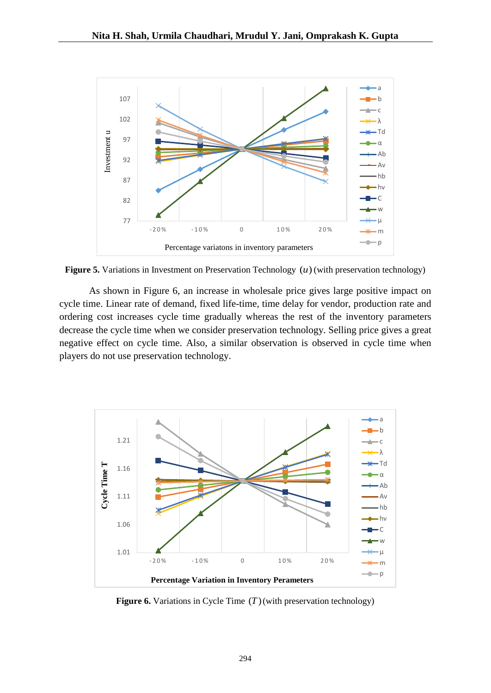

Figure 5. Variations in Investment on Preservation Technology  $(u)$  (with preservation technology)

As shown in Figure 6, an increase in wholesale price gives large positive impact on cycle time. Linear rate of demand, fixed life-time, time delay for vendor, production rate and ordering cost increases cycle time gradually whereas the rest of the inventory parameters decrease the cycle time when we consider preservation technology. Selling price gives a great negative effect on cycle time. Also, a similar observation is observed in cycle time when players do not use preservation technology.



**Figure 6.** Variations in Cycle Time  $(T)$  (with preservation technology)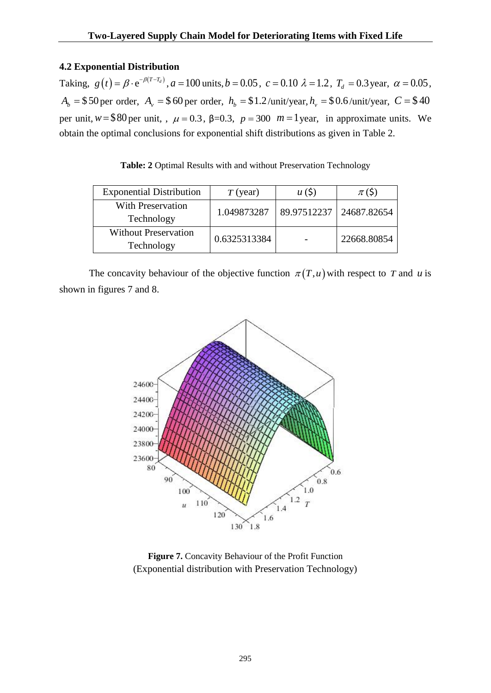# **4.2 Exponential Distribution**

Taking,  $g(t) = \beta \cdot e^{-\beta (T - T_d)}$ ,  $a = 100$  units,  $b = 0.05$ ,  $c = 0.10$   $\lambda = 1.2$ ,  $T_d = 0.3$  year,  $\alpha = 0.05$ ,  $A_b = $50$  per order,  $A_v = $60$  per order,  $h_b = $1.2$ /unit/year,  $h_v = $0.6$ /unit/year,  $C = $40$ per unit,  $w = $80$  per unit, ,  $\mu = 0.3$ ,  $\beta = 0.3$ ,  $p = 300$   $m = 1$  year, in approximate units. We obtain the optimal conclusions for exponential shift distributions as given in Table 2.

**Table: 2** Optimal Results with and without Preservation Technology

| <b>Exponential Distribution</b>           | $T$ (year)   | u(5)        | $\pi$ (\$)  |
|-------------------------------------------|--------------|-------------|-------------|
| With Preservation<br>Technology           | 1.049873287  | 89.97512237 | 24687.82654 |
| <b>Without Preservation</b><br>Technology | 0.6325313384 |             | 22668.80854 |

The concavity behaviour of the objective function  $\pi(T, u)$  with respect to T and u is shown in figures 7 and 8.



**Figure 7.** Concavity Behaviour of the Profit Function (Exponential distribution with Preservation Technology)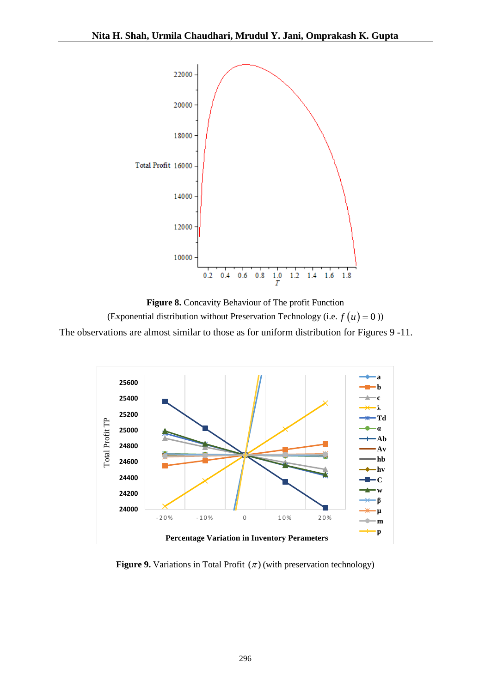

**Figure 8.** Concavity Behaviour of The profit Function (Exponential distribution without Preservation Technology (i.e.  $f(u) = 0$ )) The observations are almost similar to those as for uniform distribution for Figures 9 -11.



**Figure 9.** Variations in Total Profit  $(\pi)$  (with preservation technology)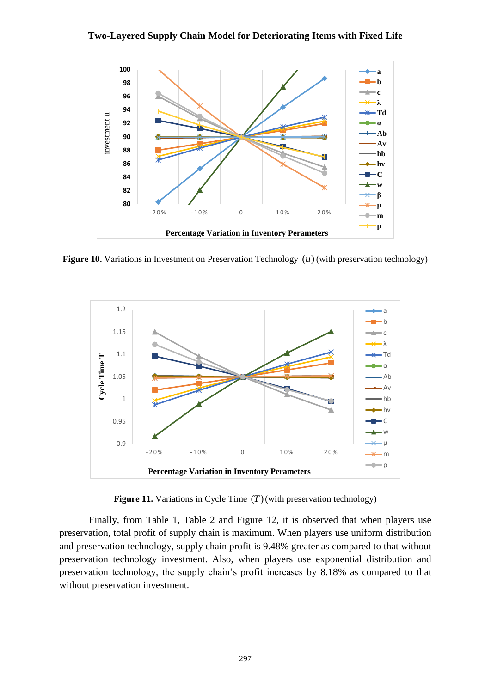

Figure 10. Variations in Investment on Preservation Technology  $(u)$  (with preservation technology)



Figure 11. Variations in Cycle Time  $(T)$  (with preservation technology)

Finally, from Table 1, Table 2 and Figure 12, it is observed that when players use preservation, total profit of supply chain is maximum. When players use uniform distribution and preservation technology, supply chain profit is 9.48% greater as compared to that without preservation technology investment. Also, when players use exponential distribution and preservation technology, the supply chain's profit increases by 8.18% as compared to that without preservation investment.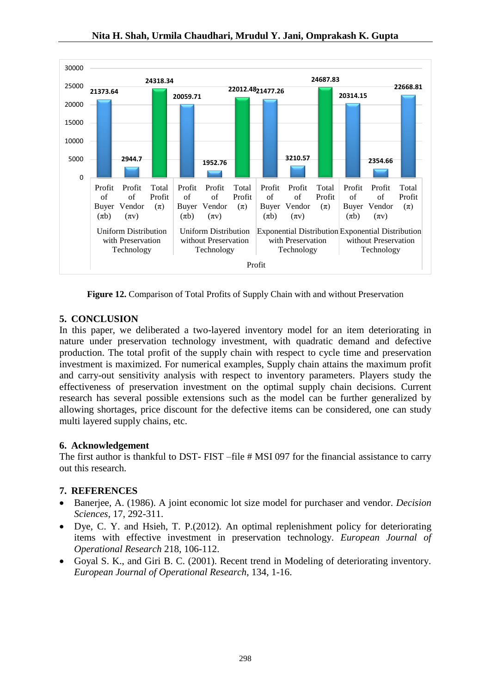![](_page_13_Figure_1.jpeg)

**Figure 12.** Comparison of Total Profits of Supply Chain with and without Preservation

# **5. CONCLUSION**

In this paper, we deliberated a two-layered inventory model for an item deteriorating in nature under preservation technology investment, with quadratic demand and defective production. The total profit of the supply chain with respect to cycle time and preservation investment is maximized. For numerical examples, Supply chain attains the maximum profit and carry-out sensitivity analysis with respect to inventory parameters. Players study the effectiveness of preservation investment on the optimal supply chain decisions. Current research has several possible extensions such as the model can be further generalized by allowing shortages, price discount for the defective items can be considered, one can study multi layered supply chains, etc.

# **6. Acknowledgement**

The first author is thankful to DST- FIST –file # MSI 097 for the financial assistance to carry out this research.

# **7. REFERENCES**

- Banerjee, A. (1986). A joint economic lot size model for purchaser and vendor. *Decision Sciences*, 17, 292-311.
- Dye, C. Y. and Hsieh, T. P.(2012). An optimal replenishment policy for deteriorating items with effective investment in preservation technology. *European Journal of Operational Research* 218, 106-112.
- Goyal S. K., and Giri B. C. (2001). Recent trend in Modeling of deteriorating inventory. *European Journal of Operational Research*, 134, 1-16.